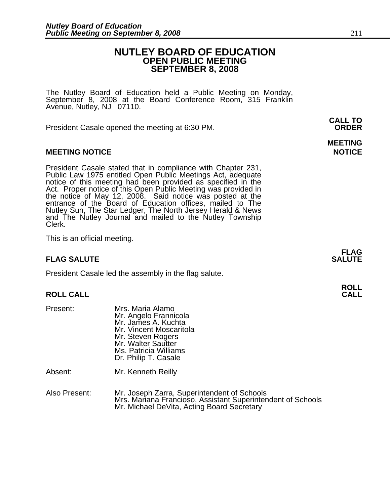#### **NUTLEY BOARD OF EDUCATION OPEN PUBLIC MEETING SEPTEMBER 8, 2008**

**MEETING** 

The Nutley Board of Education held a Public Meeting on Monday, September 8, 2008 at the Board Conference Room, 315 Franklin Avenue, Nutley, NJ 07110.

 **CALL TO**  President Casale opened the meeting at 6:30 PM. **ORDER**

#### **MEETING NOTICE NOTICE REPORTS AND ALCOHOL**

President Casale stated that in compliance with Chapter 231,<br>Public Law 1975 entitled Open Public Meetings Act, adequate<br>notice of this meeting had been provided as specified in the<br>Act. Proper notice of this Open Public M the notice of May 12, 2008. Said notice was posted at the entrance of the Board of Education offices, mailed to The Nutley Sun, The Star Ledger, The North Jersey Herald & News and The Nutley Journal and mailed to the Nutley Township Clerk.

This is an official meeting.

#### **FLAG SALUTE** SALUTE SALUTE SALUTE SALUTE SALUTE

President Casale led the assembly in the flag salute.

## **ROLL ROLL CALL CALL**

Present: Mrs. Maria Alamo Mr. Angelo Frannicola Mr. James A. Kuchta Mr. Vincent Moscaritola Mr. Steven Rogers Mr. Walter Sautter Ms. Patricia Williams Dr. Philip T. Casale

Absent: Mr. Kenneth Reilly

Also Present: Mr. Joseph Zarra, Superintendent of Schools Mrs. Mariana Francioso, Assistant Superintendent of Schools Mr. Michael DeVita, Acting Board Secretary

**FLAG**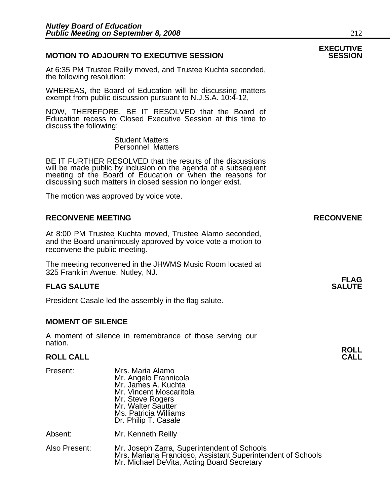#### **MOTION TO ADJOURN TO EXECUTIVE SESSION**

At 6:35 PM Trustee Reilly moved, and Trustee Kuchta seconded, the following resolution:

WHEREAS, the Board of Education will be discussing matters exempt from public discussion pursuant to N.J.S.A. 10:4-12,

NOW, THEREFORE, BE IT RESOLVED that the Board of Education recess to Closed Executive Session at this time to discuss the following:

> Student Matters Personnel Matters

BE IT FURTHER RESOLVED that the results of the discussions will be made public by inclusion on the agenda of a subsequent meeting of the Board of Education or when the reasons for discussing such matters in closed session no longer exist.

The motion was approved by voice vote.

#### **RECONVENE MEETING RECONVENE**

At 8:00 PM Trustee Kuchta moved, Trustee Alamo seconded, and the Board unanimously approved by voice vote a motion to reconvene the public meeting.

The meeting reconvened in the JHWMS Music Room located at 325 Franklin Avenue, Nutley, NJ.

#### **FLAG SALUTE** SALUTE SALUTE SALUTE SALUTE SALUTE

President Casale led the assembly in the flag salute.

#### **MOMENT OF SILENCE**

A moment of silence in remembrance of those serving our nation.

### **ROLL ROLL CALL CALL**

| Present:      | Mrs. Maria Alamo<br>Mr. Angelo Frannicola<br>Mr. James A. Kuchta<br>Mr. Vincent Moscaritola<br>Mr. Steve Rogers<br>Mr. Walter Sautter<br>Ms. Patricia Williams<br>Dr. Philip T. Casale |
|---------------|----------------------------------------------------------------------------------------------------------------------------------------------------------------------------------------|
| Absent:       | Mr. Kenneth Reilly                                                                                                                                                                     |
| Also Present: | Mr. Joseph Zarra, Superintendent of Schools<br>Mrs. Mariana Francioso, Assistant Superintendent of Schools<br>Mr. Michael DeVita, Acting Board Secretary                               |

# **EXECUTIVE**

**FLAG**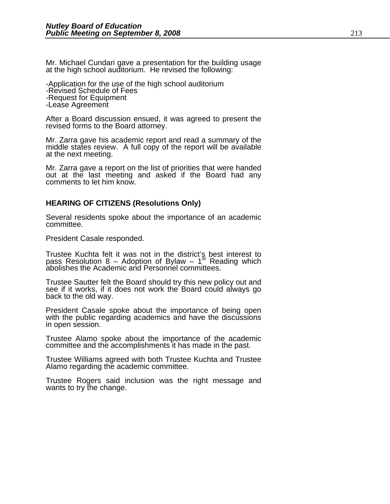Mr. Michael Cundari gave a presentation for the building usage at the high school auditorium. He revised the following:

-Application for the use of the high school auditorium -Revised Schedule of Fees -Request for Equipment -Lease Agreement

After a Board discussion ensued, it was agreed to present the revised forms to the Board attorney.

Mr. Zarra gave his academic report and read a summary of the middle states review. A full copy of the report will be available at the next meeting.

Mr. Zarra gave a report on the list of priorities that were handed out at the last meeting and asked if the Board had any comments to let him know.

#### **HEARING OF CITIZENS (Resolutions Only)**

Several residents spoke about the importance of an academic committee.

President Casale responded.

Trustee Kuchta felt it was not in the district's best interest to pass Resolution 8 – Adoption of Bylaw – 1<sup>st</sup> Reading which abolishes the Academic and Personnel committees.

Trustee Sautter felt the Board should try this new policy out and see if it works, if it does not work the Board could always go back to the old way.

President Casale spoke about the importance of being open with the public regarding academics and have the discussions in open session.

Trustee Alamo spoke about the importance of the academic committee and the accomplishments it has made in the past.

Trustee Williams agreed with both Trustee Kuchta and Trustee Alamo regarding the academic committee.

Trustee Rogers said inclusion was the right message and wants to try the change.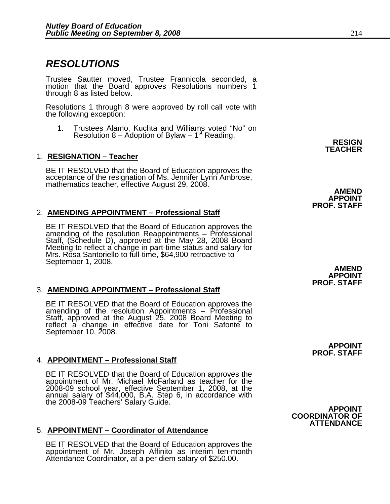### *RESOLUTIONS*

Trustee Sautter moved, Trustee Frannicola seconded, a motion that the Board approves Resolutions numbers 1 through 8 as listed below.

Resolutions 1 through 8 were approved by roll call vote with the following exception:

1. Trustees Alamo, Kuchta and Williams voted "No" on Resolution 8 – Adoption of Bylaw – 1st Reading. **RESIGN** 

#### **1. RESIGNATION – Teacher**

BE IT RESOLVED that the Board of Education approves the acceptance of the resignation of Ms. Jennifer Lynn Ambrose, mathematics teacher, effective August 29, 2008.<br>**AMEND** 

#### 2. **AMENDING APPOINTMENT – Professional Staff**

BE IT RESOLVED that the Board of Education approves the<br>amending of the resolution Reappointments – Professional<br>Staff, (Schedule D), approved at the May 28, 2008 Board<br>Meeting to reflect a change in part-time status and s Mrs. Rosa Santoriello to full-time, \$64,900 retroactive to September 1, 2008.

#### 3. **AMENDING APPOINTMENT – Professional Staff**

BE IT RESOLVED that the Board of Education approves the amending of the resolution Appointments – Professional Staff, approved at the August 25, 2008 Board Meeting to reflect a change in effective date for Toni Safonte to September 10, 2008.

#### 4. **APPOINTMENT – Professional Staff**

BE IT RESOLVED that the Board of Education approves the appointment of Mr. Michael McFarland as teacher for the 2008-09 school year, effective September 1, 2008, at the annual salary of \$44,000, B.A. Step 6, in accordance with the 2008-09 Teachers' Salary Guide. **APPOINT**

#### 5. **APPOINTMENT – Coordinator of Attendance**

BE IT RESOLVED that the Board of Education approves the appointment of Mr. Joseph Affinito as interim ten-month Attendance Coordinator, at a per diem salary of \$250.00.

**AMEND APPOINT PROF. STAFF** 

**APPOINT PROF. STAFF**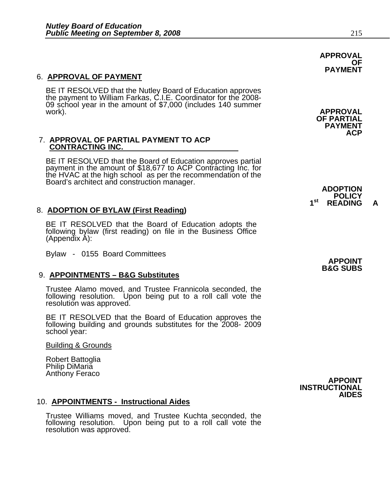#### 6. **APPROVAL OF PAYMENT**

BE IT RESOLVED that the Nutley Board of Education approves the payment to William Farkas, C.I.E. Coordinator for the 2008- 09 school year in the amount of \$7,000 (includes 140 summer work). **APPROVAL** 

# 7. **APPROVAL OF PARTIAL PAYMENT TO ACP CONTRACTING INC.**

BE IT RESOLVED that the Board of Education approves partial payment in the amount of \$18,677 to ACP Contracting Inc. for<br>the HVAC at the high school as per the recommendation of the<br>Board's architect and construction manager.<br>**ADOPTION** 

#### 8. **ADOPTION OF BYLAW (First Reading)**

BE IT RESOLVED that the Board of Education adopts the following bylaw (first reading) on file in the Business Office (Appendix A):

Bylaw - 0155 Board Committees

#### 9. **APPOINTMENTS – B&G Substitutes**

Trustee Alamo moved, and Trustee Frannicola seconded, the following resolution. Upon being put to a roll call vote the resolution was approved.

BE IT RESOLVED that the Board of Education approves the following building and grounds substitutes for the 2008- 2009 school year:

Building & Grounds

Robert Battoglia Philip DiMaria<br>Anthony Feraco

#### 10. **APPOINTMENTS - Instructional Aides**

Trustee Williams moved, and Trustee Kuchta seconded, the following resolution. Upon being put to a roll call vote the resolution was approved. **APPROVAL OF PAYMENT** 

**OF PARTIAL PAYMENT ACP** 

**POLICY** 1<sup>st</sup> READING

> **APPOINT B&G SUBS**

Anthony Feraco **APPOINT INSTRUCTIONAL AIDES**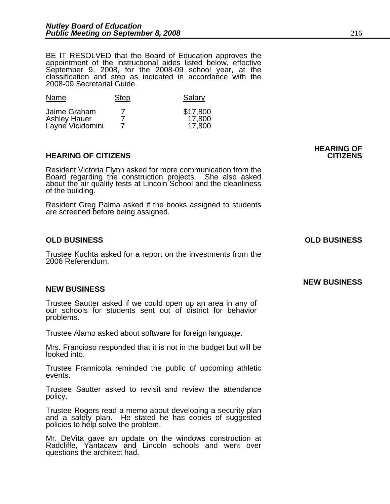BE IT RESOLVED that the Board of Education approves the appointment of the instructional aides listed below, effective September 9, 2008, for the 2008-09 school year, at the classification and step as indicated in accordance with the 2008-09 Secretarial Guide.

| Name                                                    | <b>Step</b> | Salary                       |
|---------------------------------------------------------|-------------|------------------------------|
| Jaime Graham<br><b>Ashley Hauer</b><br>Layne Vicidomini |             | \$17,800<br>17,800<br>17,800 |

#### **HEARING OF CITIZENS CITIZENS**

Resident Victoria Flynn asked for more communication from the Board regarding the construction projects. She also asked about the air quality tests at Lincoln School and the cleanliness of the building.

Resident Greg Palma asked if the books assigned to students are screened before being assigned.

#### **OLD BUSINESS OLD BUSINESS**

Trustee Kuchta asked for a report on the investments from the 2006 Referendum.

#### **NEW BUSINESS**

Trustee Sautter asked if we could open up an area in any of our schools for students sent out of district for behavior problems.

Trustee Alamo asked about software for foreign language.

Mrs. Francioso responded that it is not in the budget but will be looked into.

Trustee Frannicola reminded the public of upcoming athletic events.

Trustee Sautter asked to revisit and review the attendance policy.

Trustee Rogers read a memo about developing a security plan and a safety plan. He stated he has copies of suggested policies to help solve the problem.

Mr. DeVita gave an update on the windows construction at Radcliffe, Yantacaw and Lincoln schools and went over questions the architect had.

**HEARING OF** 

#### **NEW BUSINESS**